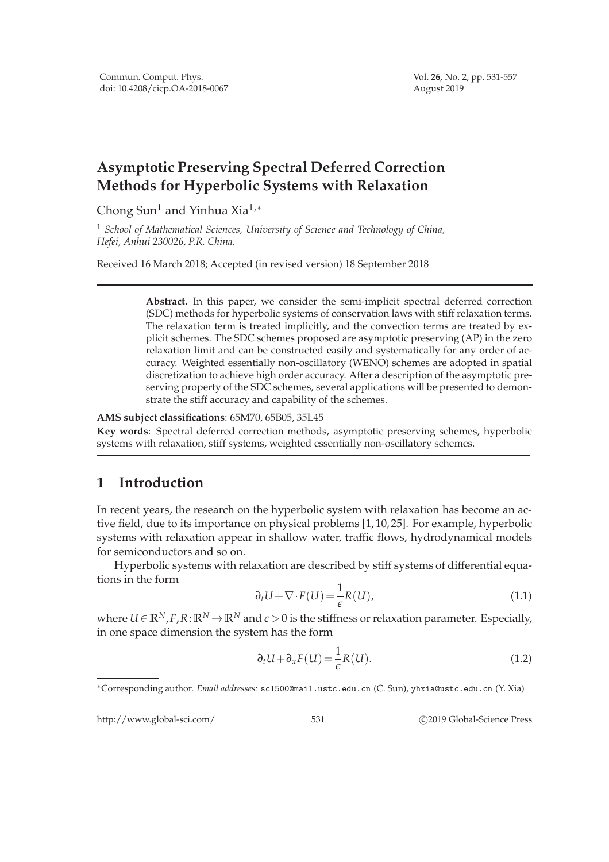## **Asymptotic Preserving Spectral Deferred Correction Methods for Hyperbolic Systems with Relaxation**

Chong Sun<sup>1</sup> and Yinhua Xia<sup>1,\*</sup>

<sup>1</sup> *School of Mathematical Sciences, University of Science and Technology of China, Hefei, Anhui 230026, P.R. China.*

Received 16 March 2018; Accepted (in revised version) 18 September 2018

**Abstract.** In this paper, we consider the semi-implicit spectral deferred correction (SDC) methods for hyperbolic systems of conservation laws with stiff relaxation terms. The relaxation term is treated implicitly, and the convection terms are treated by explicit schemes. The SDC schemes proposed are asymptotic preserving (AP) in the zero relaxation limit and can be constructed easily and systematically for any order of accuracy. Weighted essentially non-oscillatory (WENO) schemes are adopted in spatial discretization to achieve high order accuracy. After a description of the asymptotic preserving property of the SDC schemes, several applications will be presented to demonstrate the stiff accuracy and capability of the schemes.

**AMS subject classifications**: 65M70, 65B05, 35L45

**Key words**: Spectral deferred correction methods, asymptotic preserving schemes, hyperbolic systems with relaxation, stiff systems, weighted essentially non-oscillatory schemes.

## **1 Introduction**

In recent years, the research on the hyperbolic system with relaxation has become an active field, due to its importance on physical problems [1, 10, 25]. For example, hyperbolic systems with relaxation appear in shallow water, traffic flows, hydrodynamical models for semiconductors and so on.

Hyperbolic systems with relaxation are described by stiff systems of differential equations in the form

$$
\partial_t U + \nabla \cdot F(U) = \frac{1}{\epsilon} R(U), \qquad (1.1)
$$

where  $U \in \mathbb{R}^N$ ,  $F$ ,  $R: \mathbb{R}^N \to \mathbb{R}^N$  and  $\epsilon > 0$  is the stiffness or relaxation parameter. Especially, in one space dimension the system has the form

$$
\partial_t U + \partial_x F(U) = \frac{1}{\epsilon} R(U). \tag{1.2}
$$

http://www.global-sci.com/ 531 c 2019 Global-Science Press

<sup>∗</sup>Corresponding author. *Email addresses:* sc1500@mail.ustc.edu.cn (C. Sun), yhxia@ustc.edu.cn (Y. Xia)